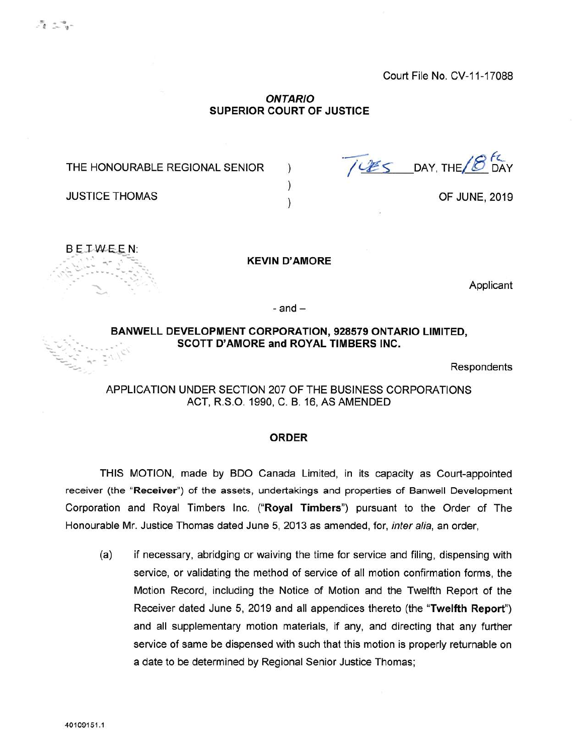## *ONTARIO* **SUPERIOR COURT OF JUSTICE**

) ) )

THE HONOURABLE REGIONAL SENIOR

DAY, THE fc DAY

OF JUNE, 2019



JUSTICE THOMAS

**KEVIN D'AMORE**

Applicant

 $-$  and  $-$ 

## **BANWELL DEVELOPMENT CORPORATION, 928579 ONTARIO LIMITED, SCOTT D'AMORE and ROYAL TIMBERS INC.**

Respondents

APPLICATION UNDER SECTION 207 OF THE BUSINESS CORPORATIONS ACT, R.S.O. 1990, C. B. 16, AS AMENDED

## **ORDER**

THIS MOTION, made by BDO Canada Limited, in its capacity as Court-appointed receiver (the "Receiver") of the assets, undertakings and properties of Banwell Development Corporation and Royal Timbers Inc. **("Royal Timbers")** pursuant to the Order of The Honourable Mr. Justice Thomas dated June 5, 2013 as amended, for, *inter alia,* an order,

(a) if necessary, abridging or waiving the time for service and filing, dispensing with service, or validating the method of service of all motion confirmation forms, the Motion Record, including the Notice of Motion and the Twelfth Report of the Receiver dated June 5, 2019 and all appendices thereto (the **"Twelfth Report")** and all supplementary motion materials, if any, and directing that any further service of same be dispensed with such that this motion is properly returnable on a date to be determined by Regional Senior Justice Thomas;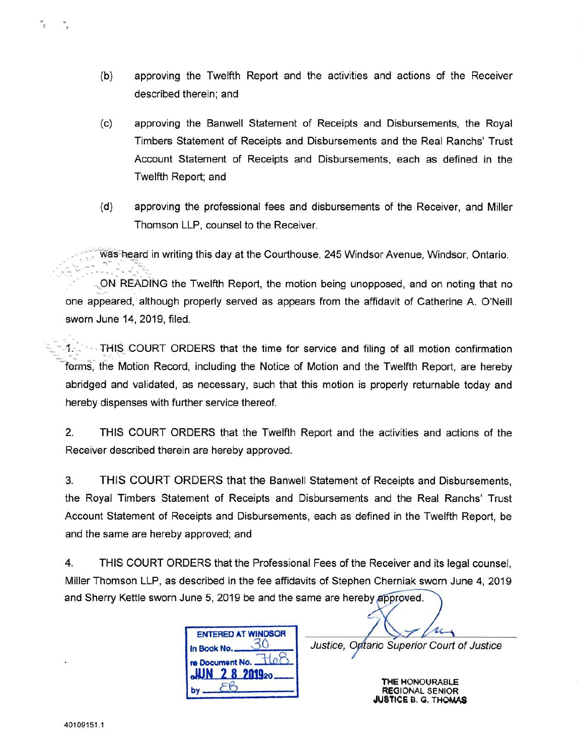- (b) approving the Twelfth Report and the activities and actions of the Receiver described therein; and
- (c) approving the Banwell Statement of Receipts and Disbursements, the Royal Timbers Statement of Receipts and Disbursements and the Real Ranchs' Trust Account Statement of Receipts and Disbursements, each as defined in the Twelfth Report; and
- (d) approving the professional fees and disbursements of the Receiver, and Miller Thomson LLP, counsel to the Receiver.

was heard in writing this day at the Courthouse, 245 Windsor Avenue, Windsor, Ontario.

ON READING the Twelfth Report, the motion being unopposed, and on noting that no one appeared, although properly served as appears from the affidavit of Catherine A. O'Neill sworn June 14, 2019, filed.

1. THIS COURT ORDERS that the time for service and filing of all motion confirmation forms, the Motion Record, including the Notice of Motion and the Twelfth Report, are hereby abridged and validated, as necessary, such that this motion is properly returnable today and hereby dispenses with further service thereof.

2. THIS COURT ORDERS that the Twelfth Report and the activities and actions of the Receiver described therein are hereby approved.

3. THIS COURT ORDERS that the Banwell Statement of Receipts and Disbursements, the Royal Timbers Statement of Receipts and Disbursements and the Real Ranchs' Trust Account Statement of Receipts and Disbursements, each as defined in the Twelfth Report, be and the same are hereby approved; and

4. THIS COURT ORDERS that the Professional Fees of the Receiver and its legal counsel, Miller Thomson LLP, as described in the fee affidavits of Stephen Cherniak sworn June 4, 2019and Sherry Kettle sworn June 5, 2019 be and the same are hereby approved.

| <b>ENTERED AT WINDSOR</b> |
|---------------------------|
| In Book No.               |
| re Document No.<br>201920 |
|                           |

Justice, Optario Superior Court of Justice

THE HONOURABLE **REGIONAL SENIOR** USTICE B. G. THOMAS

 $\mathcal{F}_{\mathcal{X}}$